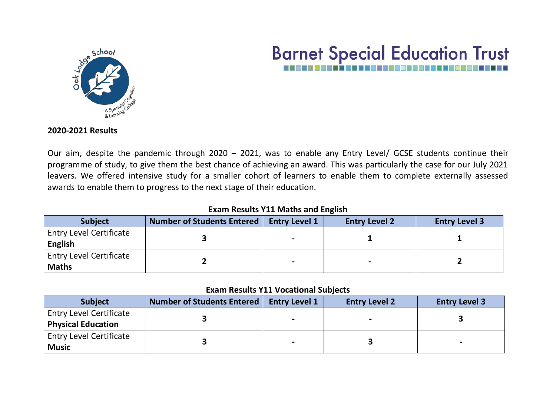

# **Barnet Special Education Trust**

#### **2020-2021 Results**

Our aim, despite the pandemic through 2020 – 2021, was to enable any Entry Level/ GCSE students continue their programme of study, to give them the best chance of achieving an award. This was particularly the case for our July 2021 leavers. We offered intensive study for a smaller cohort of learners to enable them to complete externally assessed awards to enable them to progress to the next stage of their education.

## **Exam Results Y11 Maths and English**

| <b>Subject</b>                                   | Number of Students Entered | <b>Entry Level 1</b>     | <b>Entry Level 2</b> | <b>Entry Level 3</b> |
|--------------------------------------------------|----------------------------|--------------------------|----------------------|----------------------|
| <b>Entry Level Certificate</b><br><b>English</b> |                            | $\overline{\phantom{0}}$ |                      |                      |
| <b>Entry Level Certificate</b><br><b>Maths</b>   |                            | $\blacksquare$           |                      |                      |

#### **Exam Results Y11 Vocational Subjects**

| <b>Subject</b>                 | <b>Number of Students Entered</b> | <b>Entry Level 1</b> | <b>Entry Level 2</b> | <b>Entry Level 3</b> |  |
|--------------------------------|-----------------------------------|----------------------|----------------------|----------------------|--|
| <b>Entry Level Certificate</b> |                                   |                      |                      |                      |  |
| <b>Physical Education</b>      |                                   | $\sim$               |                      |                      |  |
| <b>Entry Level Certificate</b> |                                   |                      |                      |                      |  |
| <b>Music</b>                   |                                   | $\blacksquare$       |                      |                      |  |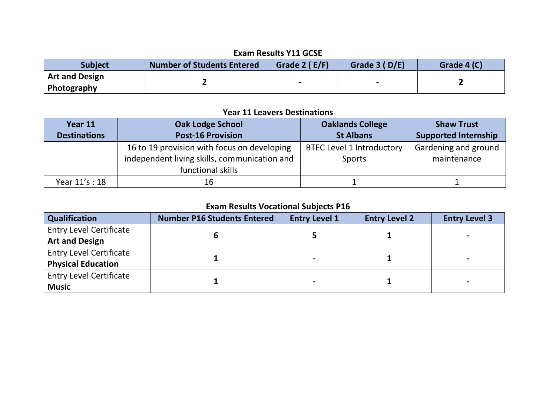# **Exam Results Y11 GCSE**

| <b>Subject</b>                       | <b>Number of Students Entered</b> | Grade 2 (E/F) | Grade 3 (D/E) | Grade 4 (C) |
|--------------------------------------|-----------------------------------|---------------|---------------|-------------|
| <b>Art and Design</b><br>Photography |                                   |               |               |             |

## **Year 11 Leavers Destinations**

| Year 11             | <b>Oak Lodge School</b>                                                                                          | <b>Oaklands College</b>                           | <b>Shaw Trust</b>                   |  |
|---------------------|------------------------------------------------------------------------------------------------------------------|---------------------------------------------------|-------------------------------------|--|
| <b>Destinations</b> | <b>Post-16 Provision</b>                                                                                         | <b>St Albans</b>                                  | <b>Supported Internship</b>         |  |
|                     | 16 to 19 provision with focus on developing<br>independent living skills, communication and<br>functional skills | <b>BTEC Level 1 Introductory</b><br><b>Sports</b> | Gardening and ground<br>maintenance |  |
| Year 11's: 18       | 16                                                                                                               |                                                   |                                     |  |

# **Exam Results Vocational Subjects P16**

| Qualification                  | <b>Number P16 Students Entered</b> | <b>Entry Level 1</b> | <b>Entry Level 2</b> | <b>Entry Level 3</b> |
|--------------------------------|------------------------------------|----------------------|----------------------|----------------------|
| <b>Entry Level Certificate</b> |                                    |                      |                      |                      |
| <b>Art and Design</b>          |                                    |                      |                      |                      |
| <b>Entry Level Certificate</b> |                                    |                      |                      |                      |
| <b>Physical Education</b>      |                                    |                      |                      |                      |
| <b>Entry Level Certificate</b> |                                    |                      |                      |                      |
| <b>Music</b>                   |                                    |                      |                      |                      |